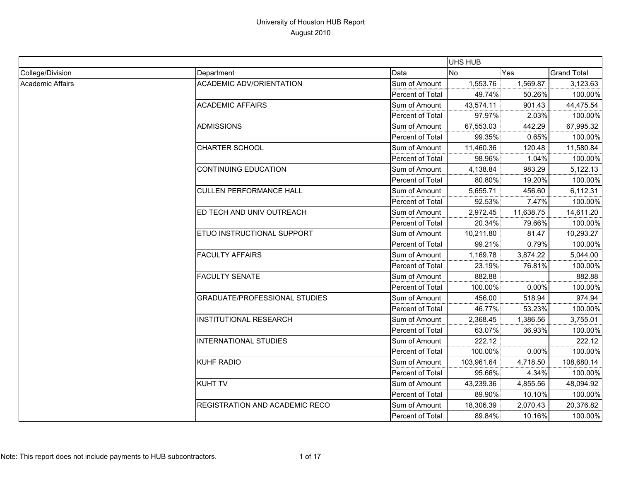|                  |                                       |                  | UHS HUB    |           |                    |
|------------------|---------------------------------------|------------------|------------|-----------|--------------------|
| College/Division | Department                            | Data             | <b>No</b>  | Yes       | <b>Grand Total</b> |
| Academic Affairs | <b>ACADEMIC ADV/ORIENTATION</b>       | Sum of Amount    | 1,553.76   | 1,569.87  | 3,123.63           |
|                  |                                       | Percent of Total | 49.74%     | 50.26%    | 100.00%            |
|                  | <b>ACADEMIC AFFAIRS</b>               | Sum of Amount    | 43,574.11  | 901.43    | 44,475.54          |
|                  |                                       | Percent of Total | 97.97%     | 2.03%     | 100.00%            |
|                  | <b>ADMISSIONS</b>                     | Sum of Amount    | 67,553.03  | 442.29    | 67,995.32          |
|                  |                                       | Percent of Total | 99.35%     | 0.65%     | 100.00%            |
|                  | <b>CHARTER SCHOOL</b>                 | Sum of Amount    | 11,460.36  | 120.48    | 11,580.84          |
|                  |                                       | Percent of Total | 98.96%     | 1.04%     | 100.00%            |
|                  | <b>CONTINUING EDUCATION</b>           | Sum of Amount    | 4,138.84   | 983.29    | 5,122.13           |
|                  |                                       | Percent of Total | 80.80%     | 19.20%    | 100.00%            |
|                  | <b>CULLEN PERFORMANCE HALL</b>        | Sum of Amount    | 5,655.71   | 456.60    | 6,112.31           |
|                  |                                       | Percent of Total | 92.53%     | 7.47%     | 100.00%            |
|                  | ED TECH AND UNIV OUTREACH             | Sum of Amount    | 2,972.45   | 11,638.75 | 14,611.20          |
|                  |                                       | Percent of Total | 20.34%     | 79.66%    | 100.00%            |
|                  | <b>ETUO INSTRUCTIONAL SUPPORT</b>     | Sum of Amount    | 10,211.80  | 81.47     | 10,293.27          |
|                  |                                       | Percent of Total | 99.21%     | 0.79%     | 100.00%            |
|                  | <b>FACULTY AFFAIRS</b>                | Sum of Amount    | 1,169.78   | 3,874.22  | 5,044.00           |
|                  |                                       | Percent of Total | 23.19%     | 76.81%    | 100.00%            |
|                  | <b>FACULTY SENATE</b>                 | Sum of Amount    | 882.88     |           | 882.88             |
|                  |                                       | Percent of Total | 100.00%    | 0.00%     | 100.00%            |
|                  | <b>GRADUATE/PROFESSIONAL STUDIES</b>  | Sum of Amount    | 456.00     | 518.94    | 974.94             |
|                  |                                       | Percent of Total | 46.77%     | 53.23%    | 100.00%            |
|                  | <b>INSTITUTIONAL RESEARCH</b>         | Sum of Amount    | 2,368.45   | 1,386.56  | 3,755.01           |
|                  |                                       | Percent of Total | 63.07%     | 36.93%    | 100.00%            |
|                  | <b>INTERNATIONAL STUDIES</b>          | Sum of Amount    | 222.12     |           | 222.12             |
|                  |                                       | Percent of Total | 100.00%    | 0.00%     | 100.00%            |
|                  | <b>KUHF RADIO</b>                     | Sum of Amount    | 103,961.64 | 4,718.50  | 108,680.14         |
|                  |                                       | Percent of Total | 95.66%     | 4.34%     | 100.00%            |
|                  | <b>KUHT TV</b>                        | Sum of Amount    | 43,239.36  | 4,855.56  | 48,094.92          |
|                  |                                       | Percent of Total | 89.90%     | 10.10%    | 100.00%            |
|                  | <b>REGISTRATION AND ACADEMIC RECO</b> | Sum of Amount    | 18,306.39  | 2,070.43  | 20,376.82          |
|                  |                                       | Percent of Total | 89.84%     | 10.16%    | 100.00%            |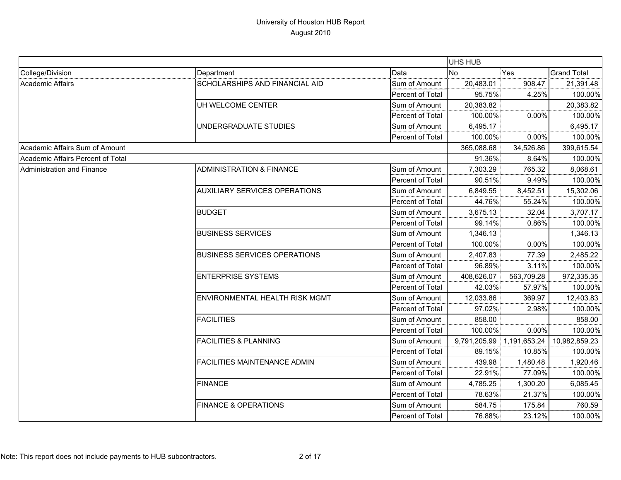|                                   |                                      |                  | UHS HUB      |              |                    |
|-----------------------------------|--------------------------------------|------------------|--------------|--------------|--------------------|
| College/Division                  | Department                           | Data             | <b>No</b>    | Yes          | <b>Grand Total</b> |
| Academic Affairs                  | SCHOLARSHIPS AND FINANCIAL AID       | Sum of Amount    | 20,483.01    | 908.47       | 21,391.48          |
|                                   |                                      | Percent of Total | 95.75%       | 4.25%        | 100.00%            |
|                                   | UH WELCOME CENTER                    | Sum of Amount    | 20,383.82    |              | 20,383.82          |
|                                   |                                      | Percent of Total | 100.00%      | 0.00%        | 100.00%            |
|                                   | UNDERGRADUATE STUDIES                | Sum of Amount    | 6,495.17     |              | 6,495.17           |
|                                   |                                      | Percent of Total | 100.00%      | 0.00%        | 100.00%            |
| Academic Affairs Sum of Amount    |                                      |                  | 365,088.68   | 34,526.86    | 399,615.54         |
| Academic Affairs Percent of Total |                                      |                  | 91.36%       | 8.64%        | 100.00%            |
| Administration and Finance        | <b>ADMINISTRATION &amp; FINANCE</b>  | Sum of Amount    | 7,303.29     | 765.32       | 8,068.61           |
|                                   |                                      | Percent of Total | 90.51%       | 9.49%        | 100.00%            |
|                                   | <b>AUXILIARY SERVICES OPERATIONS</b> | Sum of Amount    | 6,849.55     | 8,452.51     | 15,302.06          |
|                                   |                                      | Percent of Total | 44.76%       | 55.24%       | 100.00%            |
|                                   | <b>BUDGET</b>                        | Sum of Amount    | 3,675.13     | 32.04        | 3,707.17           |
|                                   |                                      | Percent of Total | 99.14%       | 0.86%        | 100.00%            |
|                                   | <b>BUSINESS SERVICES</b>             | Sum of Amount    | 1,346.13     |              | 1,346.13           |
|                                   |                                      | Percent of Total | 100.00%      | 0.00%        | 100.00%            |
|                                   | <b>BUSINESS SERVICES OPERATIONS</b>  | Sum of Amount    | 2,407.83     | 77.39        | 2,485.22           |
|                                   |                                      | Percent of Total | 96.89%       | 3.11%        | 100.00%            |
|                                   | <b>ENTERPRISE SYSTEMS</b>            | Sum of Amount    | 408,626.07   | 563,709.28   | 972,335.35         |
|                                   |                                      | Percent of Total | 42.03%       | 57.97%       | 100.00%            |
|                                   | ENVIRONMENTAL HEALTH RISK MGMT       | Sum of Amount    | 12,033.86    | 369.97       | 12,403.83          |
|                                   |                                      | Percent of Total | 97.02%       | 2.98%        | 100.00%            |
|                                   | <b>FACILITIES</b>                    | Sum of Amount    | 858.00       |              | 858.00             |
|                                   |                                      | Percent of Total | 100.00%      | 0.00%        | 100.00%            |
|                                   | <b>FACILITIES &amp; PLANNING</b>     | Sum of Amount    | 9,791,205.99 | 1,191,653.24 | 10,982,859.23      |
|                                   |                                      | Percent of Total | 89.15%       | 10.85%       | 100.00%            |
|                                   | FACILITIES MAINTENANCE ADMIN         | Sum of Amount    | 439.98       | 1,480.48     | 1,920.46           |
|                                   |                                      | Percent of Total | 22.91%       | 77.09%       | 100.00%            |
|                                   | <b>FINANCE</b>                       | Sum of Amount    | 4,785.25     | 1,300.20     | 6,085.45           |
|                                   |                                      | Percent of Total | 78.63%       | 21.37%       | 100.00%            |
|                                   | <b>FINANCE &amp; OPERATIONS</b>      | Sum of Amount    | 584.75       | 175.84       | 760.59             |
|                                   |                                      | Percent of Total | 76.88%       | 23.12%       | 100.00%            |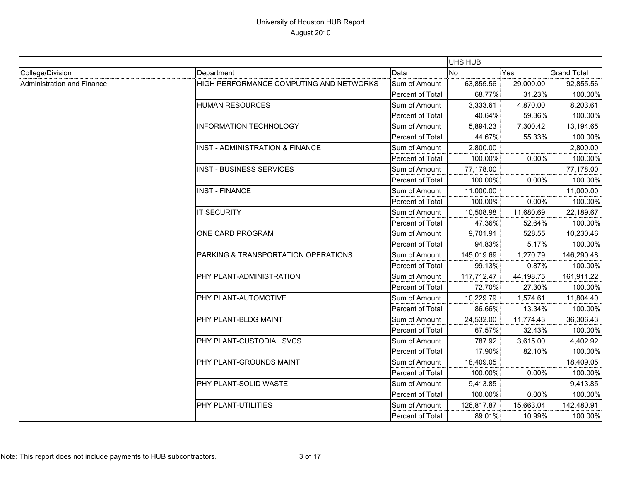|                            |                                         |                  | UHS HUB    |           |                    |
|----------------------------|-----------------------------------------|------------------|------------|-----------|--------------------|
| College/Division           | Department                              | Data             | <b>No</b>  | Yes       | <b>Grand Total</b> |
| Administration and Finance | HIGH PERFORMANCE COMPUTING AND NETWORKS | Sum of Amount    | 63,855.56  | 29,000.00 | 92,855.56          |
|                            |                                         | Percent of Total | 68.77%     | 31.23%    | 100.00%            |
|                            | <b>HUMAN RESOURCES</b>                  | Sum of Amount    | 3,333.61   | 4,870.00  | 8,203.61           |
|                            |                                         | Percent of Total | 40.64%     | 59.36%    | 100.00%            |
|                            | <b>INFORMATION TECHNOLOGY</b>           | Sum of Amount    | 5,894.23   | 7,300.42  | 13,194.65          |
|                            |                                         | Percent of Total | 44.67%     | 55.33%    | 100.00%            |
|                            | INST - ADMINISTRATION & FINANCE         | Sum of Amount    | 2,800.00   |           | 2,800.00           |
|                            |                                         | Percent of Total | 100.00%    | 0.00%     | 100.00%            |
|                            | <b>INST - BUSINESS SERVICES</b>         | Sum of Amount    | 77,178.00  |           | 77,178.00          |
|                            |                                         | Percent of Total | 100.00%    | 0.00%     | 100.00%            |
|                            | <b>INST - FINANCE</b>                   | Sum of Amount    | 11,000.00  |           | 11,000.00          |
|                            |                                         | Percent of Total | 100.00%    | 0.00%     | 100.00%            |
|                            | <b>IT SECURITY</b>                      | Sum of Amount    | 10,508.98  | 11,680.69 | 22,189.67          |
|                            |                                         | Percent of Total | 47.36%     | 52.64%    | 100.00%            |
|                            | ONE CARD PROGRAM                        | Sum of Amount    | 9,701.91   | 528.55    | 10,230.46          |
|                            |                                         | Percent of Total | 94.83%     | 5.17%     | 100.00%            |
|                            | PARKING & TRANSPORTATION OPERATIONS     | Sum of Amount    | 145,019.69 | 1,270.79  | 146,290.48         |
|                            |                                         | Percent of Total | 99.13%     | 0.87%     | 100.00%            |
|                            | PHY PLANT-ADMINISTRATION                | Sum of Amount    | 117,712.47 | 44,198.75 | 161,911.22         |
|                            |                                         | Percent of Total | 72.70%     | 27.30%    | 100.00%            |
|                            | PHY PLANT-AUTOMOTIVE                    | Sum of Amount    | 10,229.79  | 1,574.61  | 11,804.40          |
|                            |                                         | Percent of Total | 86.66%     | 13.34%    | 100.00%            |
|                            | <b>PHY PLANT-BLDG MAINT</b>             | Sum of Amount    | 24,532.00  | 11,774.43 | 36,306.43          |
|                            |                                         | Percent of Total | 67.57%     | 32.43%    | 100.00%            |
|                            | PHY PLANT-CUSTODIAL SVCS                | Sum of Amount    | 787.92     | 3,615.00  | 4,402.92           |
|                            |                                         | Percent of Total | 17.90%     | 82.10%    | 100.00%            |
|                            | PHY PLANT-GROUNDS MAINT                 | Sum of Amount    | 18,409.05  |           | 18,409.05          |
|                            |                                         | Percent of Total | 100.00%    | 0.00%     | 100.00%            |
|                            | PHY PLANT-SOLID WASTE                   | Sum of Amount    | 9,413.85   |           | 9,413.85           |
|                            |                                         | Percent of Total | 100.00%    | 0.00%     | 100.00%            |
|                            | <b>PHY PLANT-UTILITIES</b>              | Sum of Amount    | 126,817.87 | 15,663.04 | 142,480.91         |
|                            |                                         | Percent of Total | 89.01%     | 10.99%    | 100.00%            |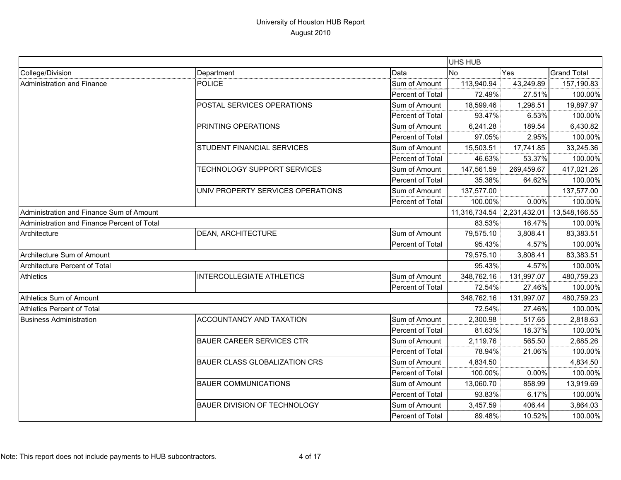|                                             |                                      |                            | UHS HUB    |               |                    |
|---------------------------------------------|--------------------------------------|----------------------------|------------|---------------|--------------------|
| College/Division                            | Department                           | Data                       | <b>No</b>  | Yes           | <b>Grand Total</b> |
| Administration and Finance                  | <b>POLICE</b>                        | Sum of Amount              | 113,940.94 | 43,249.89     | 157,190.83         |
|                                             |                                      | Percent of Total           | 72.49%     | 27.51%        | 100.00%            |
|                                             | POSTAL SERVICES OPERATIONS           | Sum of Amount              | 18,599.46  | 1,298.51      | 19,897.97          |
|                                             |                                      | Percent of Total           | 93.47%     | 6.53%         | 100.00%            |
|                                             | PRINTING OPERATIONS                  | Sum of Amount              | 6,241.28   | 189.54        | 6,430.82           |
|                                             |                                      | Percent of Total           | 97.05%     | 2.95%         | 100.00%            |
|                                             | STUDENT FINANCIAL SERVICES           | Sum of Amount              | 15,503.51  | 17,741.85     | 33,245.36          |
|                                             |                                      | Percent of Total           | 46.63%     | 53.37%        | 100.00%            |
|                                             | TECHNOLOGY SUPPORT SERVICES          | Sum of Amount              | 147,561.59 | 269,459.67    | 417,021.26         |
|                                             |                                      | Percent of Total           | 35.38%     | 64.62%        | 100.00%            |
|                                             | UNIV PROPERTY SERVICES OPERATIONS    | Sum of Amount              | 137,577.00 |               | 137,577.00         |
|                                             |                                      | Percent of Total           | 100.00%    | 0.00%         | 100.00%            |
| Administration and Finance Sum of Amount    |                                      | 11,316,734.54 2,231,432.01 |            | 13,548,166.55 |                    |
| Administration and Finance Percent of Total |                                      |                            | 83.53%     | 16.47%        | 100.00%            |
| Architecture                                | DEAN, ARCHITECTURE                   | Sum of Amount              | 79,575.10  | 3,808.41      | 83,383.51          |
|                                             |                                      | Percent of Total           | 95.43%     | 4.57%         | 100.00%            |
| Architecture Sum of Amount                  |                                      |                            | 79,575.10  | 3,808.41      | 83,383.51          |
| Architecture Percent of Total               |                                      |                            | 95.43%     | 4.57%         | 100.00%            |
| Athletics                                   | <b>INTERCOLLEGIATE ATHLETICS</b>     | Sum of Amount              | 348,762.16 | 131,997.07    | 480,759.23         |
|                                             |                                      | Percent of Total           | 72.54%     | 27.46%        | 100.00%            |
| Athletics Sum of Amount                     |                                      |                            | 348,762.16 | 131,997.07    | 480,759.23         |
| Athletics Percent of Total                  |                                      |                            | 72.54%     | 27.46%        | 100.00%            |
| <b>Business Administration</b>              | ACCOUNTANCY AND TAXATION             | Sum of Amount              | 2,300.98   | 517.65        | 2,818.63           |
|                                             |                                      | Percent of Total           | 81.63%     | 18.37%        | 100.00%            |
|                                             | <b>BAUER CAREER SERVICES CTR</b>     | Sum of Amount              | 2,119.76   | 565.50        | 2,685.26           |
|                                             |                                      | Percent of Total           | 78.94%     | 21.06%        | 100.00%            |
|                                             | <b>BAUER CLASS GLOBALIZATION CRS</b> | Sum of Amount              | 4,834.50   |               | 4,834.50           |
|                                             |                                      | Percent of Total           | 100.00%    | 0.00%         | 100.00%            |
|                                             | <b>BAUER COMMUNICATIONS</b>          | Sum of Amount              | 13,060.70  | 858.99        | 13,919.69          |
|                                             |                                      | Percent of Total           | 93.83%     | 6.17%         | 100.00%            |
|                                             | <b>BAUER DIVISION OF TECHNOLOGY</b>  | Sum of Amount              | 3,457.59   | 406.44        | 3,864.03           |
|                                             |                                      | Percent of Total           | 89.48%     | 10.52%        | 100.00%            |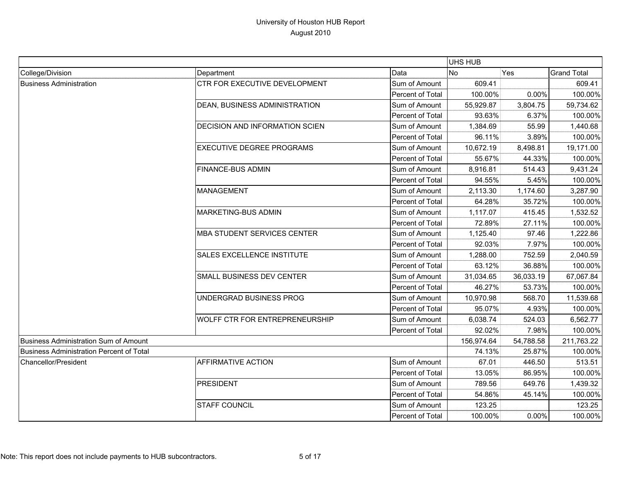|                                                 |                                       |                         | UHS HUB    |           |                    |
|-------------------------------------------------|---------------------------------------|-------------------------|------------|-----------|--------------------|
| College/Division                                | Department                            | Data                    | <b>No</b>  | Yes       | <b>Grand Total</b> |
| <b>Business Administration</b>                  | CTR FOR EXECUTIVE DEVELOPMENT         | Sum of Amount           | 609.41     |           | 609.41             |
|                                                 |                                       | <b>Percent of Total</b> | 100.00%    | $0.00\%$  | 100.00%            |
|                                                 | DEAN, BUSINESS ADMINISTRATION         | Sum of Amount           | 55,929.87  | 3,804.75  | 59,734.62          |
|                                                 |                                       | Percent of Total        | 93.63%     | 6.37%     | 100.00%            |
|                                                 | DECISION AND INFORMATION SCIEN        | Sum of Amount           | 1,384.69   | 55.99     | 1,440.68           |
|                                                 |                                       | Percent of Total        | 96.11%     | 3.89%     | 100.00%            |
|                                                 | <b>EXECUTIVE DEGREE PROGRAMS</b>      | Sum of Amount           | 10,672.19  | 8,498.81  | 19,171.00          |
|                                                 |                                       | Percent of Total        | 55.67%     | 44.33%    | 100.00%            |
|                                                 | <b>FINANCE-BUS ADMIN</b>              | Sum of Amount           | 8,916.81   | 514.43    | 9,431.24           |
|                                                 |                                       | Percent of Total        | 94.55%     | 5.45%     | 100.00%            |
|                                                 | <b>MANAGEMENT</b>                     | Sum of Amount           | 2,113.30   | 1,174.60  | 3,287.90           |
|                                                 |                                       | Percent of Total        | 64.28%     | 35.72%    | 100.00%            |
|                                                 | <b>MARKETING-BUS ADMIN</b>            | Sum of Amount           | 1,117.07   | 415.45    | 1,532.52           |
|                                                 |                                       | Percent of Total        | 72.89%     | 27.11%    | 100.00%            |
|                                                 | <b>MBA STUDENT SERVICES CENTER</b>    | Sum of Amount           | 1,125.40   | 97.46     | 1,222.86           |
|                                                 |                                       | Percent of Total        | 92.03%     | 7.97%     | 100.00%            |
|                                                 | <b>SALES EXCELLENCE INSTITUTE</b>     | Sum of Amount           | 1,288.00   | 752.59    | 2,040.59           |
|                                                 |                                       | Percent of Total        | 63.12%     | 36.88%    | 100.00%            |
|                                                 | <b>SMALL BUSINESS DEV CENTER</b>      | Sum of Amount           | 31,034.65  | 36,033.19 | 67,067.84          |
|                                                 |                                       | Percent of Total        | 46.27%     | 53.73%    | 100.00%            |
|                                                 | UNDERGRAD BUSINESS PROG               | Sum of Amount           | 10,970.98  | 568.70    | 11,539.68          |
|                                                 |                                       | Percent of Total        | 95.07%     | 4.93%     | 100.00%            |
|                                                 | <b>WOLFF CTR FOR ENTREPRENEURSHIP</b> | Sum of Amount           | 6,038.74   | 524.03    | 6,562.77           |
|                                                 |                                       | <b>Percent of Total</b> | 92.02%     | 7.98%     | 100.00%            |
| <b>Business Administration Sum of Amount</b>    |                                       |                         | 156,974.64 | 54,788.58 | 211,763.22         |
| <b>Business Administration Percent of Total</b> |                                       |                         | 74.13%     | 25.87%    | 100.00%            |
| Chancellor/President                            | <b>AFFIRMATIVE ACTION</b>             | Sum of Amount           | 67.01      | 446.50    | 513.51             |
|                                                 |                                       | <b>Percent of Total</b> | 13.05%     | 86.95%    | 100.00%            |
|                                                 | <b>PRESIDENT</b>                      | Sum of Amount           | 789.56     | 649.76    | 1,439.32           |
|                                                 |                                       | Percent of Total        | 54.86%     | 45.14%    | 100.00%            |
|                                                 | <b>STAFF COUNCIL</b>                  | Sum of Amount           | 123.25     |           | 123.25             |
|                                                 |                                       | Percent of Total        | 100.00%    | 0.00%     | 100.00%            |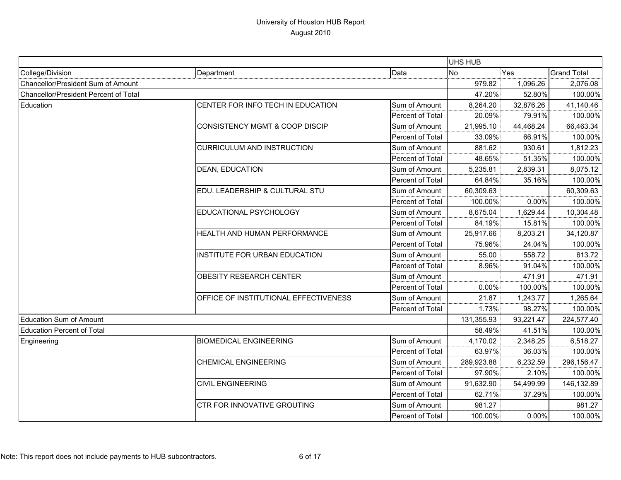|                                       |                                           |                  | UHS HUB    |           |                    |
|---------------------------------------|-------------------------------------------|------------------|------------|-----------|--------------------|
| College/Division                      | Department                                | Data             | <b>No</b>  | Yes       | <b>Grand Total</b> |
| Chancellor/President Sum of Amount    |                                           |                  | 979.82     | 1,096.26  | 2,076.08           |
| Chancellor/President Percent of Total |                                           |                  | 47.20%     | 52.80%    | 100.00%            |
| Education                             | CENTER FOR INFO TECH IN EDUCATION         | Sum of Amount    | 8,264.20   | 32,876.26 | 41,140.46          |
|                                       |                                           | Percent of Total | 20.09%     | 79.91%    | 100.00%            |
|                                       | <b>CONSISTENCY MGMT &amp; COOP DISCIP</b> | Sum of Amount    | 21,995.10  | 44,468.24 | 66,463.34          |
|                                       |                                           | Percent of Total | 33.09%     | 66.91%    | 100.00%            |
|                                       | <b>CURRICULUM AND INSTRUCTION</b>         | Sum of Amount    | 881.62     | 930.61    | 1,812.23           |
|                                       |                                           | Percent of Total | 48.65%     | 51.35%    | 100.00%            |
|                                       | <b>DEAN, EDUCATION</b>                    | Sum of Amount    | 5,235.81   | 2,839.31  | 8,075.12           |
|                                       |                                           | Percent of Total | 64.84%     | 35.16%    | 100.00%            |
|                                       | EDU. LEADERSHIP & CULTURAL STU            | Sum of Amount    | 60,309.63  |           | 60,309.63          |
|                                       |                                           | Percent of Total | 100.00%    | 0.00%     | 100.00%            |
|                                       | EDUCATIONAL PSYCHOLOGY                    | Sum of Amount    | 8,675.04   | 1,629.44  | 10,304.48          |
|                                       |                                           | Percent of Total | 84.19%     | 15.81%    | 100.00%            |
|                                       | HEALTH AND HUMAN PERFORMANCE              | Sum of Amount    | 25,917.66  | 8,203.21  | 34,120.87          |
|                                       |                                           | Percent of Total | 75.96%     | 24.04%    | 100.00%            |
|                                       | INSTITUTE FOR URBAN EDUCATION             | Sum of Amount    | 55.00      | 558.72    | 613.72             |
|                                       |                                           | Percent of Total | 8.96%      | 91.04%    | 100.00%            |
|                                       | <b>OBESITY RESEARCH CENTER</b>            | Sum of Amount    |            | 471.91    | 471.91             |
|                                       |                                           | Percent of Total | 0.00%      | 100.00%   | 100.00%            |
|                                       | OFFICE OF INSTITUTIONAL EFFECTIVENESS     | Sum of Amount    | 21.87      | 1,243.77  | 1,265.64           |
|                                       |                                           | Percent of Total | 1.73%      | 98.27%    | 100.00%            |
| <b>Education Sum of Amount</b>        |                                           |                  | 131,355.93 | 93,221.47 | 224,577.40         |
| <b>Education Percent of Total</b>     |                                           |                  | 58.49%     | 41.51%    | 100.00%            |
| Engineering                           | <b>BIOMEDICAL ENGINEERING</b>             | Sum of Amount    | 4,170.02   | 2.348.25  | 6,518.27           |
|                                       |                                           | Percent of Total | 63.97%     | 36.03%    | 100.00%            |
|                                       | <b>CHEMICAL ENGINEERING</b>               | Sum of Amount    | 289,923.88 | 6,232.59  | 296,156.47         |
|                                       |                                           | Percent of Total | 97.90%     | 2.10%     | 100.00%            |
|                                       | <b>CIVIL ENGINEERING</b>                  | Sum of Amount    | 91,632.90  | 54,499.99 | 146,132.89         |
|                                       |                                           | Percent of Total | 62.71%     | 37.29%    | 100.00%            |
|                                       | <b>CTR FOR INNOVATIVE GROUTING</b>        | Sum of Amount    | 981.27     |           | 981.27             |
|                                       |                                           | Percent of Total | 100.00%    | 0.00%     | 100.00%            |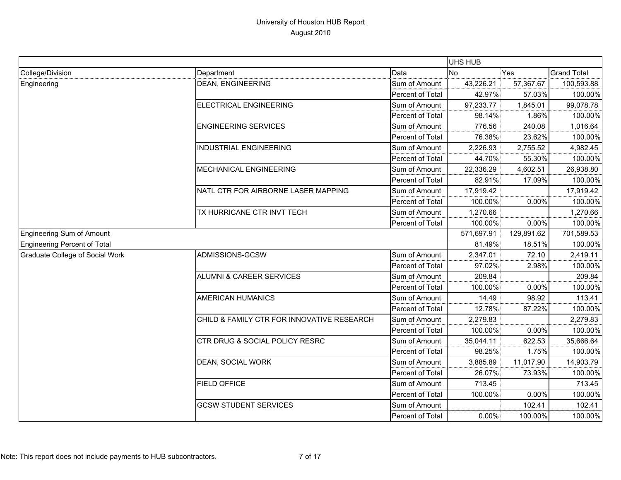|                                 |                                            |                  | UHS HUB    |            |                    |
|---------------------------------|--------------------------------------------|------------------|------------|------------|--------------------|
| College/Division                | Department                                 | Data             | <b>No</b>  | Yes        | <b>Grand Total</b> |
| Engineering                     | <b>DEAN, ENGINEERING</b>                   | Sum of Amount    | 43,226.21  | 57,367.67  | 100,593.88         |
|                                 |                                            | Percent of Total | 42.97%     | 57.03%     | 100.00%            |
|                                 | ELECTRICAL ENGINEERING                     | Sum of Amount    | 97,233.77  | 1,845.01   | 99,078.78          |
|                                 |                                            | Percent of Total | 98.14%     | 1.86%      | 100.00%            |
|                                 | <b>ENGINEERING SERVICES</b>                | Sum of Amount    | 776.56     | 240.08     | 1,016.64           |
|                                 |                                            | Percent of Total | 76.38%     | 23.62%     | 100.00%            |
|                                 | <b>INDUSTRIAL ENGINEERING</b>              | Sum of Amount    | 2,226.93   | 2,755.52   | 4,982.45           |
|                                 |                                            | Percent of Total | 44.70%     | 55.30%     | 100.00%            |
|                                 | MECHANICAL ENGINEERING                     | Sum of Amount    | 22,336.29  | 4,602.51   | 26,938.80          |
|                                 |                                            | Percent of Total | 82.91%     | 17.09%     | 100.00%            |
|                                 | NATL CTR FOR AIRBORNE LASER MAPPING        | Sum of Amount    | 17,919.42  |            | 17,919.42          |
|                                 |                                            | Percent of Total | 100.00%    | 0.00%      | 100.00%            |
|                                 | TX HURRICANE CTR INVT TECH                 | Sum of Amount    | 1,270.66   |            | 1,270.66           |
|                                 |                                            | Percent of Total | 100.00%    | 0.00%      | 100.00%            |
| Engineering Sum of Amount       |                                            |                  | 571,697.91 | 129,891.62 | 701,589.53         |
| Engineering Percent of Total    |                                            |                  | 81.49%     | 18.51%     | 100.00%            |
| Graduate College of Social Work | ADMISSIONS-GCSW                            | Sum of Amount    | 2,347.01   | 72.10      | 2,419.11           |
|                                 |                                            | Percent of Total | 97.02%     | 2.98%      | 100.00%            |
|                                 | ALUMNI & CAREER SERVICES                   | Sum of Amount    | 209.84     |            | 209.84             |
|                                 |                                            | Percent of Total | 100.00%    | 0.00%      | 100.00%            |
|                                 | AMERICAN HUMANICS                          | Sum of Amount    | 14.49      | 98.92      | 113.41             |
|                                 |                                            | Percent of Total | 12.78%     | 87.22%     | 100.00%            |
|                                 | CHILD & FAMILY CTR FOR INNOVATIVE RESEARCH | Sum of Amount    | 2,279.83   |            | 2,279.83           |
|                                 |                                            | Percent of Total | 100.00%    | 0.00%      | 100.00%            |
|                                 | CTR DRUG & SOCIAL POLICY RESRC             | Sum of Amount    | 35,044.11  | 622.53     | 35,666.64          |
|                                 |                                            | Percent of Total | 98.25%     | 1.75%      | 100.00%            |
|                                 | DEAN, SOCIAL WORK                          | Sum of Amount    | 3,885.89   | 11,017.90  | 14,903.79          |
|                                 |                                            | Percent of Total | 26.07%     | 73.93%     | 100.00%            |
|                                 | <b>FIELD OFFICE</b>                        | Sum of Amount    | 713.45     |            | 713.45             |
|                                 |                                            | Percent of Total | 100.00%    | 0.00%      | 100.00%            |
|                                 | <b>GCSW STUDENT SERVICES</b>               | Sum of Amount    |            | 102.41     | 102.41             |
|                                 |                                            | Percent of Total | 0.00%      | 100.00%    | 100.00%            |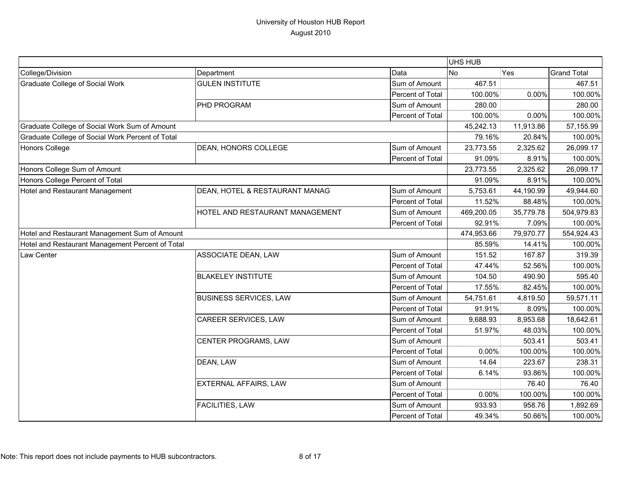|                                                  |                                 |                  | UHS HUB    |           |                    |
|--------------------------------------------------|---------------------------------|------------------|------------|-----------|--------------------|
| College/Division                                 | Department                      | Data             | No         | Yes       | <b>Grand Total</b> |
| <b>Graduate College of Social Work</b>           | <b>GULEN INSTITUTE</b>          | Sum of Amount    | 467.51     |           | 467.51             |
|                                                  |                                 | Percent of Total | 100.00%    | 0.00%     | 100.00%            |
|                                                  | PHD PROGRAM                     | Sum of Amount    | 280.00     |           | 280.00             |
|                                                  |                                 | Percent of Total | 100.00%    | 0.00%     | 100.00%            |
| Graduate College of Social Work Sum of Amount    |                                 |                  | 45,242.13  | 11,913.86 | 57,155.99          |
| Graduate College of Social Work Percent of Total |                                 |                  | 79.16%     | 20.84%    | 100.00%            |
| <b>Honors College</b>                            | DEAN, HONORS COLLEGE            | Sum of Amount    | 23,773.55  | 2,325.62  | 26,099.17          |
|                                                  |                                 | Percent of Total | 91.09%     | 8.91%     | 100.00%            |
| Honors College Sum of Amount                     |                                 |                  | 23,773.55  | 2,325.62  | 26,099.17          |
| Honors College Percent of Total                  |                                 |                  | 91.09%     | 8.91%     | 100.00%            |
| Hotel and Restaurant Management                  | DEAN, HOTEL & RESTAURANT MANAG  | Sum of Amount    | 5,753.61   | 44,190.99 | 49,944.60          |
|                                                  |                                 | Percent of Total | 11.52%     | 88.48%    | 100.00%            |
|                                                  | HOTEL AND RESTAURANT MANAGEMENT | Sum of Amount    | 469,200.05 | 35,779.78 | 504,979.83         |
|                                                  |                                 | Percent of Total | 92.91%     | 7.09%     | 100.00%            |
| Hotel and Restaurant Management Sum of Amount    |                                 |                  | 474,953.66 | 79,970.77 | 554,924.43         |
| Hotel and Restaurant Management Percent of Total |                                 |                  | 85.59%     | 14.41%    | 100.00%            |
| Law Center                                       | ASSOCIATE DEAN, LAW             | Sum of Amount    | 151.52     | 167.87    | 319.39             |
|                                                  |                                 | Percent of Total | 47.44%     | 52.56%    | 100.00%            |
|                                                  | <b>BLAKELEY INSTITUTE</b>       | Sum of Amount    | 104.50     | 490.90    | 595.40             |
|                                                  |                                 | Percent of Total | 17.55%     | 82.45%    | 100.00%            |
|                                                  | <b>BUSINESS SERVICES, LAW</b>   | Sum of Amount    | 54,751.61  | 4,819.50  | 59,571.11          |
|                                                  |                                 | Percent of Total | 91.91%     | 8.09%     | 100.00%            |
|                                                  | CAREER SERVICES, LAW            | Sum of Amount    | 9,688.93   | 8,953.68  | 18,642.61          |
|                                                  |                                 | Percent of Total | 51.97%     | 48.03%    | 100.00%            |
|                                                  | CENTER PROGRAMS, LAW            | Sum of Amount    |            | 503.41    | 503.41             |
|                                                  |                                 | Percent of Total | 0.00%      | 100.00%   | 100.00%            |
|                                                  | DEAN, LAW                       | Sum of Amount    | 14.64      | 223.67    | 238.31             |
|                                                  |                                 | Percent of Total | 6.14%      | 93.86%    | 100.00%            |
|                                                  | EXTERNAL AFFAIRS, LAW           | Sum of Amount    |            | 76.40     | 76.40              |
|                                                  |                                 | Percent of Total | 0.00%      | 100.00%   | 100.00%            |
|                                                  | FACILITIES, LAW                 | Sum of Amount    | 933.93     | 958.76    | 1,892.69           |
|                                                  |                                 | Percent of Total | 49.34%     | 50.66%    | 100.00%            |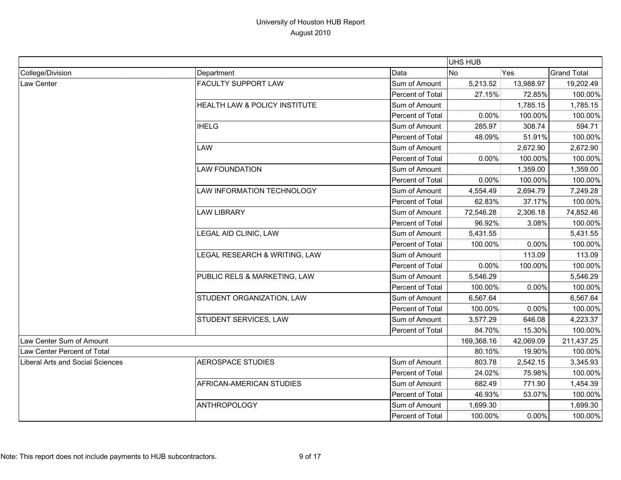|                                         |                               |                  | UHS HUB    |           |                    |
|-----------------------------------------|-------------------------------|------------------|------------|-----------|--------------------|
| College/Division                        | Department                    | Data             | <b>No</b>  | Yes       | <b>Grand Total</b> |
| Law Center                              | FACULTY SUPPORT LAW           | Sum of Amount    | 5,213.52   | 13,988.97 | 19,202.49          |
|                                         |                               | Percent of Total | 27.15%     | 72.85%    | 100.00%            |
|                                         | HEALTH LAW & POLICY INSTITUTE | Sum of Amount    |            | 1,785.15  | 1,785.15           |
|                                         |                               | Percent of Total | 0.00%      | 100.00%   | 100.00%            |
|                                         | <b>IHELG</b>                  | Sum of Amount    | 285.97     | 308.74    | 594.71             |
|                                         |                               | Percent of Total | 48.09%     | 51.91%    | 100.00%            |
|                                         | LAW                           | Sum of Amount    |            | 2,672.90  | 2,672.90           |
|                                         |                               | Percent of Total | 0.00%      | 100.00%   | 100.00%            |
|                                         | <b>LAW FOUNDATION</b>         | Sum of Amount    |            | 1,359.00  | 1,359.00           |
|                                         |                               | Percent of Total | 0.00%      | 100.00%   | 100.00%            |
|                                         | LAW INFORMATION TECHNOLOGY    | Sum of Amount    | 4,554.49   | 2,694.79  | 7,249.28           |
|                                         |                               | Percent of Total | 62.83%     | 37.17%    | 100.00%            |
|                                         | <b>LAW LIBRARY</b>            | Sum of Amount    | 72,546.28  | 2,306.18  | 74,852.46          |
|                                         |                               | Percent of Total | 96.92%     | 3.08%     | 100.00%            |
|                                         | LEGAL AID CLINIC, LAW         | Sum of Amount    | 5,431.55   |           | 5,431.55           |
|                                         |                               | Percent of Total | 100.00%    | 0.00%     | 100.00%            |
|                                         | LEGAL RESEARCH & WRITING, LAW | Sum of Amount    |            | 113.09    | 113.09             |
|                                         |                               | Percent of Total | 0.00%      | 100.00%   | 100.00%            |
|                                         | PUBLIC RELS & MARKETING, LAW  | Sum of Amount    | 5,546.29   |           | 5,546.29           |
|                                         |                               | Percent of Total | 100.00%    | 0.00%     | 100.00%            |
|                                         | STUDENT ORGANIZATION, LAW     | Sum of Amount    | 6,567.64   |           | 6,567.64           |
|                                         |                               | Percent of Total | 100.00%    | 0.00%     | 100.00%            |
|                                         | STUDENT SERVICES, LAW         | Sum of Amount    | 3,577.29   | 646.08    | 4,223.37           |
|                                         |                               | Percent of Total | 84.70%     | 15.30%    | 100.00%            |
| Law Center Sum of Amount                |                               |                  | 169,368.16 | 42,069.09 | 211,437.25         |
| Law Center Percent of Total             |                               |                  | 80.10%     | 19.90%    | 100.00%            |
| <b>Liberal Arts and Social Sciences</b> | <b>AEROSPACE STUDIES</b>      | Sum of Amount    | 803.78     | 2,542.15  | 3,345.93           |
|                                         |                               | Percent of Total | 24.02%     | 75.98%    | 100.00%            |
|                                         | AFRICAN-AMERICAN STUDIES      | Sum of Amount    | 682.49     | 771.90    | 1,454.39           |
|                                         |                               | Percent of Total | 46.93%     | 53.07%    | 100.00%            |
|                                         | <b>ANTHROPOLOGY</b>           | Sum of Amount    | 1,699.30   |           | 1,699.30           |
|                                         |                               | Percent of Total | 100.00%    | 0.00%     | 100.00%            |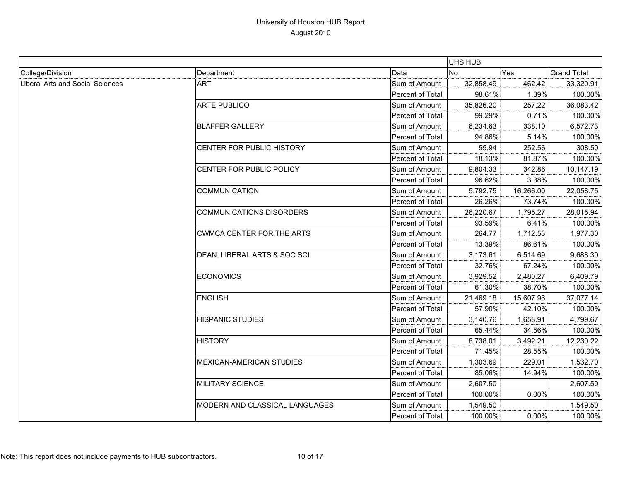|                                         |                                  |                  | UHS HUB   |           |                    |
|-----------------------------------------|----------------------------------|------------------|-----------|-----------|--------------------|
| College/Division                        | Department                       | Data             | <b>No</b> | Yes       | <b>Grand Total</b> |
| <b>Liberal Arts and Social Sciences</b> | <b>ART</b>                       | Sum of Amount    | 32,858.49 | 462.42    | 33,320.91          |
|                                         |                                  | Percent of Total | 98.61%    | 1.39%     | 100.00%            |
|                                         | <b>ARTE PUBLICO</b>              | Sum of Amount    | 35,826.20 | 257.22    | 36,083.42          |
|                                         |                                  | Percent of Total | 99.29%    | 0.71%     | 100.00%            |
|                                         | <b>BLAFFER GALLERY</b>           | Sum of Amount    | 6,234.63  | 338.10    | 6,572.73           |
|                                         |                                  | Percent of Total | 94.86%    | 5.14%     | 100.00%            |
|                                         | CENTER FOR PUBLIC HISTORY        | Sum of Amount    | 55.94     | 252.56    | 308.50             |
|                                         |                                  | Percent of Total | 18.13%    | 81.87%    | 100.00%            |
|                                         | CENTER FOR PUBLIC POLICY         | Sum of Amount    | 9,804.33  | 342.86    | 10,147.19          |
|                                         |                                  | Percent of Total | 96.62%    | 3.38%     | 100.00%            |
|                                         | COMMUNICATION                    | Sum of Amount    | 5,792.75  | 16,266.00 | 22,058.75          |
|                                         |                                  | Percent of Total | 26.26%    | 73.74%    | 100.00%            |
|                                         | <b>COMMUNICATIONS DISORDERS</b>  | Sum of Amount    | 26,220.67 | 1,795.27  | 28,015.94          |
|                                         |                                  | Percent of Total | 93.59%    | 6.41%     | 100.00%            |
|                                         | <b>CWMCA CENTER FOR THE ARTS</b> | Sum of Amount    | 264.77    | 1,712.53  | 1,977.30           |
|                                         |                                  | Percent of Total | 13.39%    | 86.61%    | 100.00%            |
|                                         | DEAN, LIBERAL ARTS & SOC SCI     | Sum of Amount    | 3,173.61  | 6,514.69  | 9,688.30           |
|                                         |                                  | Percent of Total | 32.76%    | 67.24%    | 100.00%            |
|                                         | <b>ECONOMICS</b>                 | Sum of Amount    | 3,929.52  | 2,480.27  | 6,409.79           |
|                                         |                                  | Percent of Total | 61.30%    | 38.70%    | 100.00%            |
|                                         | <b>ENGLISH</b>                   | Sum of Amount    | 21,469.18 | 15,607.96 | 37,077.14          |
|                                         |                                  | Percent of Total | 57.90%    | 42.10%    | 100.00%            |
|                                         | <b>HISPANIC STUDIES</b>          | Sum of Amount    | 3,140.76  | 1,658.91  | 4,799.67           |
|                                         |                                  | Percent of Total | 65.44%    | 34.56%    | 100.00%            |
|                                         | <b>HISTORY</b>                   | Sum of Amount    | 8,738.01  | 3,492.21  | 12,230.22          |
|                                         |                                  | Percent of Total | 71.45%    | 28.55%    | 100.00%            |
|                                         | MEXICAN-AMERICAN STUDIES         | Sum of Amount    | 1,303.69  | 229.01    | 1,532.70           |
|                                         |                                  | Percent of Total | 85.06%    | 14.94%    | 100.00%            |
|                                         | MILITARY SCIENCE                 | Sum of Amount    | 2,607.50  |           | 2,607.50           |
|                                         |                                  | Percent of Total | 100.00%   | 0.00%     | 100.00%            |
|                                         | MODERN AND CLASSICAL LANGUAGES   | Sum of Amount    | 1,549.50  |           | 1,549.50           |
|                                         |                                  | Percent of Total | 100.00%   | 0.00%     | 100.00%            |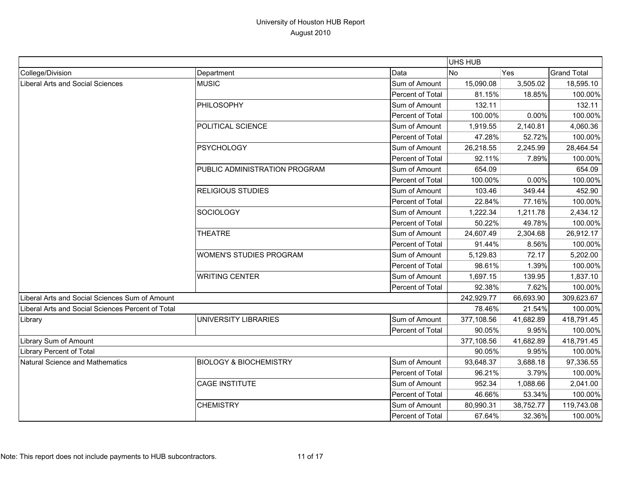|                                                   |                                   |                  | <b>UHS HUB</b> |           |                    |
|---------------------------------------------------|-----------------------------------|------------------|----------------|-----------|--------------------|
| College/Division                                  | Department                        | Data             | <b>No</b>      | Yes       | <b>Grand Total</b> |
| <b>Liberal Arts and Social Sciences</b>           | <b>MUSIC</b>                      | Sum of Amount    | 15,090.08      | 3,505.02  | 18,595.10          |
|                                                   |                                   | Percent of Total | 81.15%         | 18.85%    | 100.00%            |
|                                                   | PHILOSOPHY                        | Sum of Amount    | 132.11         |           | 132.11             |
|                                                   |                                   | Percent of Total | 100.00%        | 0.00%     | 100.00%            |
|                                                   | POLITICAL SCIENCE                 | Sum of Amount    | 1,919.55       | 2,140.81  | 4,060.36           |
|                                                   |                                   | Percent of Total | 47.28%         | 52.72%    | 100.00%            |
|                                                   | <b>PSYCHOLOGY</b>                 | Sum of Amount    | 26,218.55      | 2,245.99  | 28,464.54          |
|                                                   |                                   | Percent of Total | 92.11%         | 7.89%     | 100.00%            |
|                                                   | PUBLIC ADMINISTRATION PROGRAM     | Sum of Amount    | 654.09         |           | 654.09             |
|                                                   |                                   | Percent of Total | 100.00%        | 0.00%     | 100.00%            |
|                                                   | <b>RELIGIOUS STUDIES</b>          | Sum of Amount    | 103.46         | 349.44    | 452.90             |
|                                                   |                                   | Percent of Total | 22.84%         | 77.16%    | 100.00%            |
|                                                   | <b>SOCIOLOGY</b>                  | Sum of Amount    | 1,222.34       | 1,211.78  | 2,434.12           |
|                                                   |                                   | Percent of Total | 50.22%         | 49.78%    | 100.00%            |
|                                                   | <b>THEATRE</b>                    | Sum of Amount    | 24,607.49      | 2,304.68  | 26,912.17          |
|                                                   |                                   | Percent of Total | 91.44%         | 8.56%     | 100.00%            |
|                                                   | <b>WOMEN'S STUDIES PROGRAM</b>    | Sum of Amount    | 5,129.83       | 72.17     | 5,202.00           |
|                                                   |                                   | Percent of Total | 98.61%         | 1.39%     | 100.00%            |
|                                                   | <b>WRITING CENTER</b>             | Sum of Amount    | 1,697.15       | 139.95    | 1,837.10           |
|                                                   |                                   | Percent of Total | 92.38%         | 7.62%     | 100.00%            |
| Liberal Arts and Social Sciences Sum of Amount    |                                   |                  | 242,929.77     | 66,693.90 | 309,623.67         |
| Liberal Arts and Social Sciences Percent of Total |                                   |                  | 78.46%         | 21.54%    | 100.00%            |
| Library                                           | UNIVERSITY LIBRARIES              | Sum of Amount    | 377,108.56     | 41,682.89 | 418,791.45         |
|                                                   |                                   | Percent of Total | 90.05%         | 9.95%     | 100.00%            |
| Library Sum of Amount                             |                                   |                  | 377,108.56     | 41,682.89 | 418,791.45         |
| <b>Library Percent of Total</b>                   |                                   |                  | 90.05%         | 9.95%     | 100.00%            |
| Natural Science and Mathematics                   | <b>BIOLOGY &amp; BIOCHEMISTRY</b> | Sum of Amount    | 93,648.37      | 3,688.18  | 97,336.55          |
|                                                   |                                   | Percent of Total | 96.21%         | 3.79%     | 100.00%            |
|                                                   | <b>CAGE INSTITUTE</b>             | Sum of Amount    | 952.34         | 1,088.66  | 2,041.00           |
|                                                   |                                   | Percent of Total | 46.66%         | 53.34%    | 100.00%            |
|                                                   | <b>CHEMISTRY</b>                  | Sum of Amount    | 80,990.31      | 38,752.77 | 119,743.08         |
|                                                   |                                   | Percent of Total | 67.64%         | 32.36%    | 100.00%            |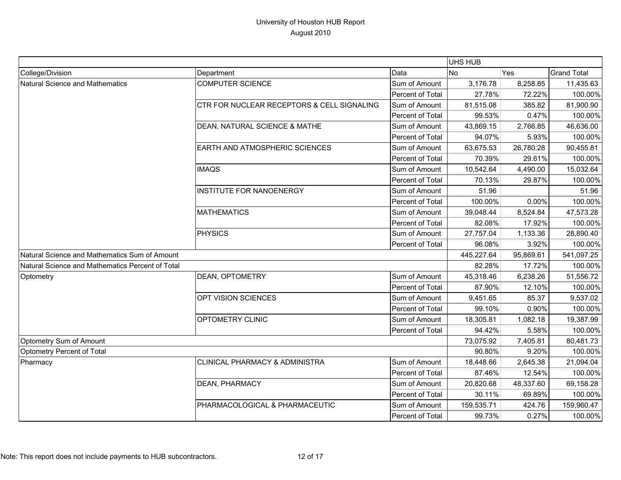|                                                  |                                            |                  | <b>UHS HUB</b> |           |                    |
|--------------------------------------------------|--------------------------------------------|------------------|----------------|-----------|--------------------|
| College/Division                                 | Department                                 | Data             | <b>No</b>      | Yes       | <b>Grand Total</b> |
| Natural Science and Mathematics                  | <b>COMPUTER SCIENCE</b>                    | Sum of Amount    | 3,176.78       | 8,258.85  | 11,435.63          |
|                                                  |                                            | Percent of Total | 27.78%         | 72.22%    | 100.00%            |
|                                                  | CTR FOR NUCLEAR RECEPTORS & CELL SIGNALING | Sum of Amount    | 81,515.08      | 385.82    | 81,900.90          |
|                                                  |                                            | Percent of Total | 99.53%         | 0.47%     | 100.00%            |
|                                                  | DEAN, NATURAL SCIENCE & MATHE              | Sum of Amount    | 43,869.15      | 2,766.85  | 46,636.00          |
|                                                  |                                            | Percent of Total | 94.07%         | 5.93%     | 100.00%            |
|                                                  | <b>EARTH AND ATMOSPHERIC SCIENCES</b>      | Sum of Amount    | 63,675.53      | 26,780.28 | 90,455.81          |
|                                                  |                                            | Percent of Total | 70.39%         | 29.61%    | 100.00%            |
|                                                  | <b>IMAQS</b>                               | Sum of Amount    | 10,542.64      | 4,490.00  | 15,032.64          |
|                                                  |                                            | Percent of Total | 70.13%         | 29.87%    | 100.00%            |
|                                                  | <b>INSTITUTE FOR NANOENERGY</b>            | Sum of Amount    | 51.96          |           | 51.96              |
|                                                  |                                            | Percent of Total | 100.00%        | 0.00%     | 100.00%            |
|                                                  | <b>MATHEMATICS</b>                         | Sum of Amount    | 39,048.44      | 8,524.84  | 47,573.28          |
|                                                  |                                            | Percent of Total | 82.08%         | 17.92%    | 100.00%            |
|                                                  | <b>PHYSICS</b>                             | Sum of Amount    | 27,757.04      | 1,133.36  | 28,890.40          |
|                                                  |                                            | Percent of Total | 96.08%         | 3.92%     | 100.00%            |
| Natural Science and Mathematics Sum of Amount    |                                            |                  | 445,227.64     | 95,869.61 | 541,097.25         |
| Natural Science and Mathematics Percent of Total |                                            |                  | 82.28%         | 17.72%    | 100.00%            |
| Optometry                                        | DEAN, OPTOMETRY                            | Sum of Amount    | 45,318.46      | 6,238.26  | 51,556.72          |
|                                                  |                                            | Percent of Total | 87.90%         | 12.10%    | 100.00%            |
|                                                  | OPT VISION SCIENCES                        | Sum of Amount    | 9,451.65       | 85.37     | 9,537.02           |
|                                                  |                                            | Percent of Total | 99.10%         | 0.90%     | 100.00%            |
|                                                  | OPTOMETRY CLINIC                           | Sum of Amount    | 18,305.81      | 1,082.18  | 19,387.99          |
|                                                  |                                            | Percent of Total | 94.42%         | 5.58%     | 100.00%            |
| Optometry Sum of Amount                          |                                            |                  | 73,075.92      | 7,405.81  | 80,481.73          |
| Optometry Percent of Total                       |                                            |                  | 90.80%         | 9.20%     | 100.00%            |
| Pharmacy                                         | <b>CLINICAL PHARMACY &amp; ADMINISTRA</b>  | Sum of Amount    | 18,448.66      | 2,645.38  | 21,094.04          |
|                                                  |                                            | Percent of Total | 87.46%         | 12.54%    | 100.00%            |
|                                                  | <b>DEAN, PHARMACY</b>                      | Sum of Amount    | 20,820.68      | 48,337.60 | 69,158.28          |
|                                                  |                                            | Percent of Total | 30.11%         | 69.89%    | 100.00%            |
|                                                  | PHARMACOLOGICAL & PHARMACEUTIC             | Sum of Amount    | 159,535.71     | 424.76    | 159,960.47         |
|                                                  |                                            | Percent of Total | 99.73%         | 0.27%     | 100.00%            |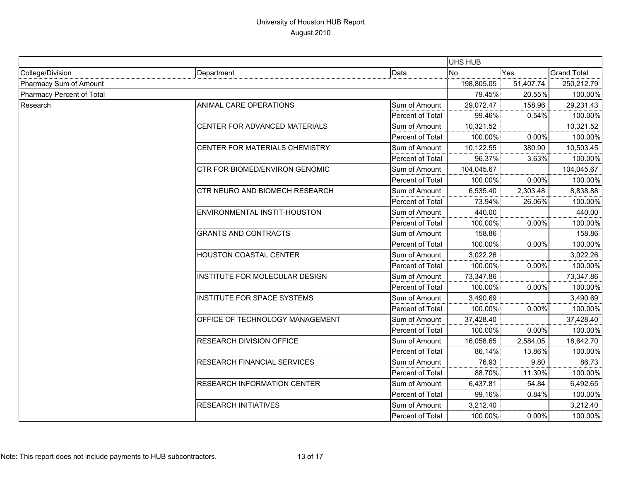|                           |                                    |                  |            | UHS HUB    |                                                                                                                                                                                                                            |  |
|---------------------------|------------------------------------|------------------|------------|------------|----------------------------------------------------------------------------------------------------------------------------------------------------------------------------------------------------------------------------|--|
| College/Division          | Department                         | Data             | <b>No</b>  | Yes        | <b>Grand Total</b>                                                                                                                                                                                                         |  |
| Pharmacy Sum of Amount    |                                    | 198,805.05       | 51,407.74  | 250,212.79 |                                                                                                                                                                                                                            |  |
| Pharmacy Percent of Total |                                    | 79.45%           | 20.55%     |            |                                                                                                                                                                                                                            |  |
| Research                  | ANIMAL CARE OPERATIONS             | Sum of Amount    | 29,072.47  | 158.96     | 29,231.43                                                                                                                                                                                                                  |  |
|                           |                                    | Percent of Total | 99.46%     | 0.54%      |                                                                                                                                                                                                                            |  |
|                           | CENTER FOR ADVANCED MATERIALS      | Sum of Amount    | 10,321.52  |            | 10,321.52                                                                                                                                                                                                                  |  |
|                           |                                    | Percent of Total | 100.00%    | 0.00%      |                                                                                                                                                                                                                            |  |
|                           | CENTER FOR MATERIALS CHEMISTRY     | Sum of Amount    | 10,122.55  | 380.90     | 10,503.45                                                                                                                                                                                                                  |  |
|                           |                                    | Percent of Total | 96.37%     | 3.63%      |                                                                                                                                                                                                                            |  |
|                           | CTR FOR BIOMED/ENVIRON GENOMIC     | Sum of Amount    | 104,045.67 |            | 104,045.67                                                                                                                                                                                                                 |  |
|                           |                                    | Percent of Total | 100.00%    | 0.00%      |                                                                                                                                                                                                                            |  |
|                           | CTR NEURO AND BIOMECH RESEARCH     | Sum of Amount    | 6,535.40   | 2,303.48   | 8,838.88                                                                                                                                                                                                                   |  |
|                           |                                    | Percent of Total | 73.94%     | 26.06%     |                                                                                                                                                                                                                            |  |
|                           | ENVIRONMENTAL INSTIT-HOUSTON       | Sum of Amount    | 440.00     |            | 440.00                                                                                                                                                                                                                     |  |
|                           |                                    | Percent of Total | 100.00%    | $0.00\%$   |                                                                                                                                                                                                                            |  |
|                           | <b>GRANTS AND CONTRACTS</b>        | Sum of Amount    | 158.86     |            | 158.86                                                                                                                                                                                                                     |  |
|                           |                                    | Percent of Total | 100.00%    | 0.00%      |                                                                                                                                                                                                                            |  |
|                           | HOUSTON COASTAL CENTER             | Sum of Amount    | 3,022.26   |            | 3,022.26                                                                                                                                                                                                                   |  |
|                           |                                    | Percent of Total | 100.00%    | 0.00%      |                                                                                                                                                                                                                            |  |
|                           | INSTITUTE FOR MOLECULAR DESIGN     | Sum of Amount    | 73,347.86  |            | 73,347.86                                                                                                                                                                                                                  |  |
|                           |                                    | Percent of Total | 100.00%    | 0.00%      |                                                                                                                                                                                                                            |  |
|                           | INSTITUTE FOR SPACE SYSTEMS        | Sum of Amount    | 3,490.69   |            | 3,490.69                                                                                                                                                                                                                   |  |
|                           |                                    | Percent of Total | 100.00%    | 0.00%      |                                                                                                                                                                                                                            |  |
|                           | OFFICE OF TECHNOLOGY MANAGEMENT    | Sum of Amount    | 37,428.40  |            | 37,428.40                                                                                                                                                                                                                  |  |
|                           |                                    | Percent of Total | 100.00%    | 0.00%      |                                                                                                                                                                                                                            |  |
|                           | <b>RESEARCH DIVISION OFFICE</b>    | Sum of Amount    | 16,058.65  | 2,584.05   | 100.00%<br>100.00%<br>100.00%<br>100.00%<br>100.00%<br>100.00%<br>100.00%<br>100.00%<br>100.00%<br>100.00%<br>100.00%<br>100.00%<br>18,642.70<br>100.00%<br>86.73<br>100.00%<br>6,492.65<br>100.00%<br>3,212.40<br>100.00% |  |
|                           |                                    | Percent of Total | 86.14%     | 13.86%     |                                                                                                                                                                                                                            |  |
|                           | RESEARCH FINANCIAL SERVICES        | Sum of Amount    | 76.93      | 9.80       |                                                                                                                                                                                                                            |  |
|                           |                                    | Percent of Total | 88.70%     | 11.30%     |                                                                                                                                                                                                                            |  |
|                           | <b>RESEARCH INFORMATION CENTER</b> | Sum of Amount    | 6,437.81   | 54.84      |                                                                                                                                                                                                                            |  |
|                           |                                    | Percent of Total | 99.16%     | 0.84%      |                                                                                                                                                                                                                            |  |
|                           | <b>RESEARCH INITIATIVES</b>        | Sum of Amount    | 3,212.40   |            |                                                                                                                                                                                                                            |  |
|                           |                                    | Percent of Total | 100.00%    | 0.00%      |                                                                                                                                                                                                                            |  |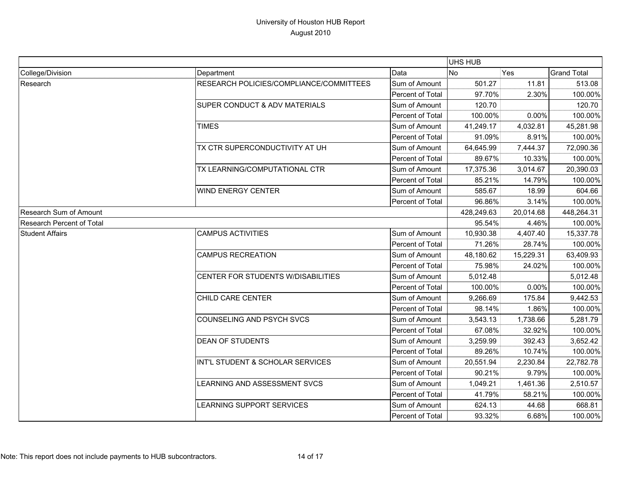|                           |                                         |                  | UHS HUB   |            |                    |
|---------------------------|-----------------------------------------|------------------|-----------|------------|--------------------|
| College/Division          | Department                              | Data             | No        | Yes        | <b>Grand Total</b> |
| Research                  | RESEARCH POLICIES/COMPLIANCE/COMMITTEES | Sum of Amount    | 501.27    | 11.81      | 513.08             |
|                           |                                         | Percent of Total | 97.70%    | 2.30%      | 100.00%            |
|                           | SUPER CONDUCT & ADV MATERIALS           | Sum of Amount    | 120.70    |            | 120.70             |
|                           |                                         | Percent of Total | 100.00%   | 0.00%      | 100.00%            |
|                           | <b>TIMES</b>                            | Sum of Amount    | 41,249.17 | 4,032.81   | 45,281.98          |
|                           |                                         | Percent of Total | 91.09%    | 8.91%      | 100.00%            |
|                           | TX CTR SUPERCONDUCTIVITY AT UH          | Sum of Amount    | 64,645.99 | 7,444.37   | 72,090.36          |
|                           |                                         | Percent of Total | 89.67%    | 10.33%     | 100.00%            |
|                           | TX LEARNING/COMPUTATIONAL CTR           | Sum of Amount    | 17,375.36 | 3,014.67   | 20,390.03          |
|                           |                                         | Percent of Total | 85.21%    | 14.79%     | 100.00%            |
|                           | <b>WIND ENERGY CENTER</b>               | Sum of Amount    | 585.67    | 18.99      | 604.66             |
|                           |                                         | Percent of Total | 96.86%    | 3.14%      | 100.00%            |
| Research Sum of Amount    |                                         | 428,249.63       | 20,014.68 | 448,264.31 |                    |
| Research Percent of Total |                                         |                  | 95.54%    | 4.46%      | 100.00%            |
| <b>Student Affairs</b>    | <b>CAMPUS ACTIVITIES</b>                | Sum of Amount    | 10,930.38 | 4,407.40   | 15,337.78          |
|                           |                                         | Percent of Total | 71.26%    | 28.74%     | 100.00%            |
|                           | <b>CAMPUS RECREATION</b>                | Sum of Amount    | 48,180.62 | 15,229.31  | 63,409.93          |
|                           |                                         | Percent of Total | 75.98%    | 24.02%     | 100.00%            |
|                           | CENTER FOR STUDENTS W/DISABILITIES      | Sum of Amount    | 5,012.48  |            | 5,012.48           |
|                           |                                         | Percent of Total | 100.00%   | 0.00%      | 100.00%            |
|                           | CHILD CARE CENTER                       | Sum of Amount    | 9,266.69  | 175.84     | 9,442.53           |
|                           |                                         | Percent of Total | 98.14%    | 1.86%      | 100.00%            |
|                           | COUNSELING AND PSYCH SVCS               | Sum of Amount    | 3,543.13  | 1,738.66   | 5,281.79           |
|                           |                                         | Percent of Total | 67.08%    | 32.92%     | 100.00%            |
|                           | <b>DEAN OF STUDENTS</b>                 | Sum of Amount    | 3,259.99  | 392.43     | 3,652.42           |
|                           |                                         | Percent of Total | 89.26%    | 10.74%     | 100.00%            |
|                           | INT'L STUDENT & SCHOLAR SERVICES        | Sum of Amount    | 20,551.94 | 2,230.84   | 22,782.78          |
|                           |                                         | Percent of Total | 90.21%    | 9.79%      | 100.00%            |
|                           | LEARNING AND ASSESSMENT SVCS            | Sum of Amount    | 1,049.21  | 1,461.36   | 2,510.57           |
|                           |                                         | Percent of Total | 41.79%    | 58.21%     | 100.00%            |
|                           | LEARNING SUPPORT SERVICES               | Sum of Amount    | 624.13    | 44.68      | 668.81             |
|                           |                                         | Percent of Total | 93.32%    | 6.68%      | 100.00%            |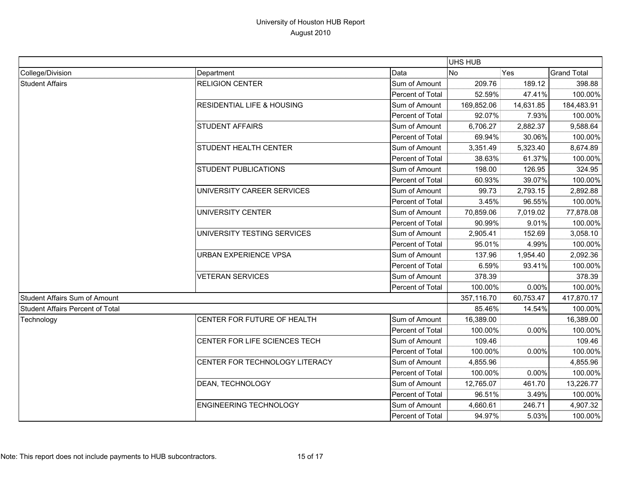|                                         |                                       |                  | UHS HUB                                            |            |                    |
|-----------------------------------------|---------------------------------------|------------------|----------------------------------------------------|------------|--------------------|
| College/Division                        | Department                            | Data             | <b>No</b>                                          | Yes        | <b>Grand Total</b> |
| <b>Student Affairs</b>                  | <b>RELIGION CENTER</b>                | Sum of Amount    | 209.76                                             | 189.12     | 398.88             |
|                                         |                                       | Percent of Total | 52.59%                                             | 47.41%     | 100.00%            |
|                                         | <b>RESIDENTIAL LIFE &amp; HOUSING</b> | Sum of Amount    | 169,852.06                                         | 14,631.85  | 184,483.91         |
|                                         |                                       | Percent of Total | 92.07%                                             | 7.93%      | 100.00%            |
|                                         | <b>STUDENT AFFAIRS</b>                | Sum of Amount    | 6,706.27                                           | 2,882.37   | 9,588.64           |
|                                         |                                       | Percent of Total | 69.94%                                             | 30.06%     | 100.00%            |
|                                         | <b>STUDENT HEALTH CENTER</b>          | Sum of Amount    | 3,351.49                                           | 5,323.40   | 8,674.89           |
|                                         |                                       | Percent of Total | 38.63%                                             | 61.37%     | 100.00%            |
|                                         | <b>STUDENT PUBLICATIONS</b>           | Sum of Amount    | 198.00                                             | 126.95     | 324.95             |
|                                         |                                       | Percent of Total | 60.93%                                             | 39.07%     | 100.00%            |
|                                         | UNIVERSITY CAREER SERVICES            | Sum of Amount    | 99.73                                              | 2,793.15   | 2,892.88           |
|                                         |                                       | Percent of Total |                                                    | 96.55%     | 100.00%            |
|                                         | <b>UNIVERSITY CENTER</b>              | Sum of Amount    | 3.45%<br>70,859.06<br>90.99%<br>2,905.41<br>95.01% | 7,019.02   | 77,878.08          |
|                                         |                                       | Percent of Total |                                                    | 9.01%      | 100.00%            |
|                                         | UNIVERSITY TESTING SERVICES           | Sum of Amount    |                                                    | 152.69     | 3,058.10           |
|                                         |                                       | Percent of Total |                                                    | 4.99%      | 100.00%            |
|                                         | <b>URBAN EXPERIENCE VPSA</b>          | Sum of Amount    | 137.96                                             | 1,954.40   | 2,092.36           |
|                                         |                                       | Percent of Total | 6.59%                                              | 93.41%     | 100.00%            |
|                                         | <b>VETERAN SERVICES</b>               | Sum of Amount    | 378.39                                             |            | 378.39             |
|                                         |                                       | Percent of Total | 100.00%                                            | 0.00%      | 100.00%            |
| Student Affairs Sum of Amount           |                                       | 357,116.70       | 60,753.47                                          | 417,870.17 |                    |
| <b>Student Affairs Percent of Total</b> |                                       |                  | 85.46%                                             | 14.54%     | 100.00%            |
| Technology                              | CENTER FOR FUTURE OF HEALTH           | Sum of Amount    | 16,389.00                                          |            | 16,389.00          |
|                                         |                                       | Percent of Total | 100.00%                                            | 0.00%      | 100.00%            |
|                                         | CENTER FOR LIFE SCIENCES TECH         | Sum of Amount    | 109.46                                             |            | 109.46             |
|                                         |                                       | Percent of Total | 100.00%                                            | 0.00%      | 100.00%            |
|                                         | CENTER FOR TECHNOLOGY LITERACY        | Sum of Amount    | 4,855.96                                           |            | 4,855.96           |
|                                         |                                       | Percent of Total | 100.00%                                            | 0.00%      | 100.00%            |
|                                         | DEAN, TECHNOLOGY                      | Sum of Amount    | 12,765.07                                          | 461.70     | 13,226.77          |
|                                         |                                       | Percent of Total | 96.51%                                             | 3.49%      | 100.00%            |
|                                         | ENGINEERING TECHNOLOGY                | Sum of Amount    | 4,660.61                                           | 246.71     | 4,907.32           |
|                                         |                                       | Percent of Total | 94.97%                                             | 5.03%      | 100.00%            |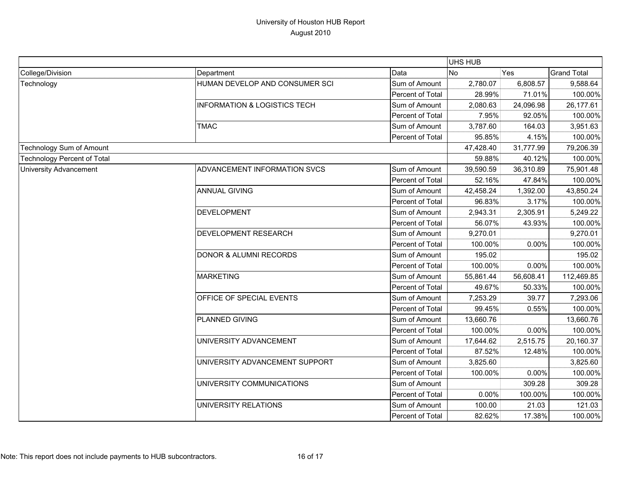|                                    |                                         |                  | <b>UHS HUB</b> |           |                    |
|------------------------------------|-----------------------------------------|------------------|----------------|-----------|--------------------|
| College/Division                   | Department                              | Data             | <b>No</b>      | Yes       | <b>Grand Total</b> |
| Technology                         | HUMAN DEVELOP AND CONSUMER SCI          | Sum of Amount    | 2,780.07       | 6,808.57  | 9,588.64           |
|                                    |                                         | Percent of Total | 28.99%         | 71.01%    | 100.00%            |
|                                    | <b>INFORMATION &amp; LOGISTICS TECH</b> | Sum of Amount    | 2,080.63       | 24,096.98 | 26,177.61          |
|                                    |                                         | Percent of Total | 7.95%          | 92.05%    | 100.00%            |
|                                    | <b>TMAC</b>                             | Sum of Amount    | 3,787.60       | 164.03    | 3,951.63           |
|                                    |                                         | Percent of Total | 95.85%         | 4.15%     | 100.00%            |
| Technology Sum of Amount           |                                         |                  | 47,428.40      | 31,777.99 | 79,206.39          |
| <b>Technology Percent of Total</b> |                                         |                  | 59.88%         | 40.12%    | 100.00%            |
| <b>University Advancement</b>      | ADVANCEMENT INFORMATION SVCS            | Sum of Amount    | 39,590.59      | 36,310.89 | 75,901.48          |
|                                    |                                         | Percent of Total | 52.16%         | 47.84%    | 100.00%            |
|                                    | <b>ANNUAL GIVING</b>                    | Sum of Amount    | 42,458.24      | 1,392.00  | 43,850.24          |
|                                    |                                         | Percent of Total | 96.83%         | 3.17%     | 100.00%            |
|                                    | <b>DEVELOPMENT</b>                      | Sum of Amount    | 2,943.31       | 2,305.91  | 5,249.22           |
|                                    |                                         | Percent of Total | 56.07%         | 43.93%    | 100.00%            |
|                                    | DEVELOPMENT RESEARCH                    | Sum of Amount    | 9,270.01       |           | 9,270.01           |
|                                    |                                         | Percent of Total | 100.00%        | 0.00%     | 100.00%            |
|                                    | <b>DONOR &amp; ALUMNI RECORDS</b>       | Sum of Amount    | 195.02         |           | 195.02             |
|                                    |                                         | Percent of Total | 100.00%        | 0.00%     | 100.00%            |
|                                    | <b>MARKETING</b>                        | Sum of Amount    | 55,861.44      | 56,608.41 | 112,469.85         |
|                                    |                                         | Percent of Total | 49.67%         | 50.33%    | 100.00%            |
|                                    | OFFICE OF SPECIAL EVENTS                | Sum of Amount    | 7,253.29       | 39.77     | 7,293.06           |
|                                    |                                         | Percent of Total | 99.45%         | 0.55%     | 100.00%            |
|                                    | PLANNED GIVING                          | Sum of Amount    | 13,660.76      |           | 13,660.76          |
|                                    |                                         | Percent of Total | 100.00%        | 0.00%     | 100.00%            |
|                                    | UNIVERSITY ADVANCEMENT                  | Sum of Amount    | 17,644.62      | 2,515.75  | 20,160.37          |
|                                    |                                         | Percent of Total | 87.52%         | 12.48%    | 100.00%            |
|                                    | UNIVERSITY ADVANCEMENT SUPPORT          | Sum of Amount    | 3,825.60       |           | 3,825.60           |
|                                    |                                         | Percent of Total | 100.00%        | 0.00%     | 100.00%            |
|                                    | UNIVERSITY COMMUNICATIONS               | Sum of Amount    |                | 309.28    | 309.28             |
|                                    |                                         | Percent of Total | $0.00\%$       | 100.00%   | 100.00%            |
|                                    | UNIVERSITY RELATIONS                    | Sum of Amount    | 100.00         | 21.03     | 121.03             |
|                                    |                                         | Percent of Total | 82.62%         | 17.38%    | 100.00%            |